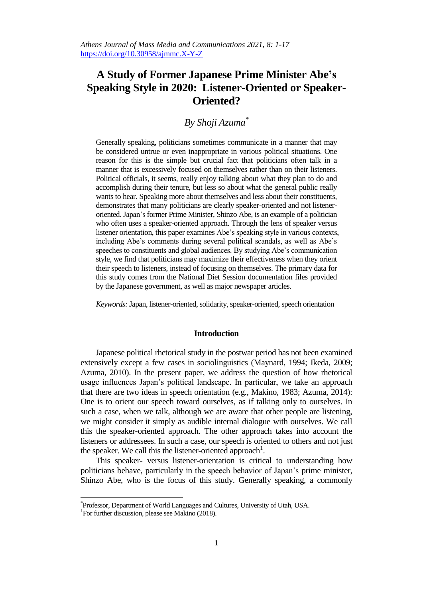# **A Study of Former Japanese Prime Minister Abe's Speaking Style in 2020: Listener-Oriented or Speaker-Oriented?**

## *By Shoji Azuma\**

Generally speaking, politicians sometimes communicate in a manner that may be considered untrue or even inappropriate in various political situations. One reason for this is the simple but crucial fact that politicians often talk in a manner that is excessively focused on themselves rather than on their listeners. Political officials, it seems, really enjoy talking about what they plan to do and accomplish during their tenure, but less so about what the general public really wants to hear. Speaking more about themselves and less about their constituents, demonstrates that many politicians are clearly speaker-oriented and not listeneroriented. Japan's former Prime Minister, Shinzo Abe, is an example of a politician who often uses a speaker-oriented approach. Through the lens of speaker versus listener orientation, this paper examines Abe's speaking style in various contexts, including Abe's comments during several political scandals, as well as Abe's speeches to constituents and global audiences. By studying Abe's communication style, we find that politicians may maximize their effectiveness when they orient their speech to listeners, instead of focusing on themselves. The primary data for this study comes from the National Diet Session documentation files provided by the Japanese government, as well as major newspaper articles.

*Keywords:*Japan, listener-oriented, solidarity, speaker-oriented, speech orientation

## **Introduction**

Japanese political rhetorical study in the postwar period has not been examined extensively except a few cases in sociolinguistics (Maynard, 1994; Ikeda, 2009; Azuma, 2010). In the present paper, we address the question of how rhetorical usage influences Japan's political landscape. In particular, we take an approach that there are two ideas in speech orientation (e.g., Makino, 1983; Azuma, 2014): One is to orient our speech toward ourselves, as if talking only to ourselves. In such a case, when we talk, although we are aware that other people are listening, we might consider it simply as audible internal dialogue with ourselves. We call this the speaker-oriented approach. The other approach takes into account the listeners or addressees. In such a case, our speech is oriented to others and not just the speaker. We call this the listener-oriented approach<sup>1</sup>.

This speaker- versus listener-orientation is critical to understanding how politicians behave, particularly in the speech behavior of Japan's prime minister, Shinzo Abe, who is the focus of this study. Generally speaking, a commonly

<sup>\*</sup> Professor, Department of World Languages and Cultures, University of Utah, USA.

<sup>&</sup>lt;sup>1</sup>For further discussion, please see Makino (2018).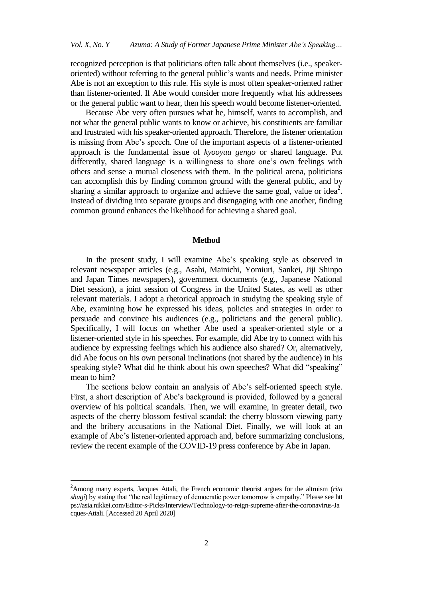recognized perception is that politicians often talk about themselves (i.e., speakeroriented) without referring to the general public's wants and needs. Prime minister Abe is not an exception to this rule. His style is most often speaker-oriented rather than listener-oriented. If Abe would consider more frequently what his addressees or the general public want to hear, then his speech would become listener-oriented.

Because Abe very often pursues what he, himself, wants to accomplish, and not what the general public wants to know or achieve, his constituents are familiar and frustrated with his speaker-oriented approach. Therefore, the listener orientation is missing from Abe's speech. One of the important aspects of a listener-oriented approach is the fundamental issue of *kyooyuu gengo* or shared language. Put differently, shared language is a willingness to share one's own feelings with others and sense a mutual closeness with them. In the political arena, politicians can accomplish this by finding common ground with the general public, and by sharing a similar approach to organize and achieve the same goal, value or idea<sup>2</sup>. Instead of dividing into separate groups and disengaging with one another, finding common ground enhances the likelihood for achieving a shared goal.

### **Method**

In the present study, I will examine Abe's speaking style as observed in relevant newspaper articles (e.g., Asahi, Mainichi, Yomiuri, Sankei, Jiji Shinpo and Japan Times newspapers), government documents (e.g., Japanese National Diet session), a joint session of Congress in the United States, as well as other relevant materials. I adopt a rhetorical approach in studying the speaking style of Abe, examining how he expressed his ideas, policies and strategies in order to persuade and convince his audiences (e.g., politicians and the general public). Specifically, I will focus on whether Abe used a speaker-oriented style or a listener-oriented style in his speeches. For example, did Abe try to connect with his audience by expressing feelings which his audience also shared? Or, alternatively, did Abe focus on his own personal inclinations (not shared by the audience) in his speaking style? What did he think about his own speeches? What did "speaking" mean to him?

The sections below contain an analysis of Abe's self-oriented speech style. First, a short description of Abe's background is provided, followed by a general overview of his political scandals. Then, we will examine, in greater detail, two aspects of the cherry blossom festival scandal: the cherry blossom viewing party and the bribery accusations in the National Diet. Finally, we will look at an example of Abe's listener-oriented approach and, before summarizing conclusions, review the recent example of the COVID-19 press conference by Abe in Japan.

<sup>2</sup>Among many experts, Jacques Attali, the French economic theorist argues for the altruism (*rita shugi*) by stating that "the real legitimacy of democratic power tomorrow is empathy." Please see [htt](https://asia.nikkei.com/Editor-s-Picks/Interview/Technology-to-reign-supreme-after-the-coronavirus-Jacques-Attali) [ps://asia.nikkei.com/Editor-s-Picks/Interview/Technology-to-reign-supreme-after-the-coronavirus-Ja](https://asia.nikkei.com/Editor-s-Picks/Interview/Technology-to-reign-supreme-after-the-coronavirus-Jacques-Attali) [cques-Attali.](https://asia.nikkei.com/Editor-s-Picks/Interview/Technology-to-reign-supreme-after-the-coronavirus-Jacques-Attali) [Accessed 20 April 2020]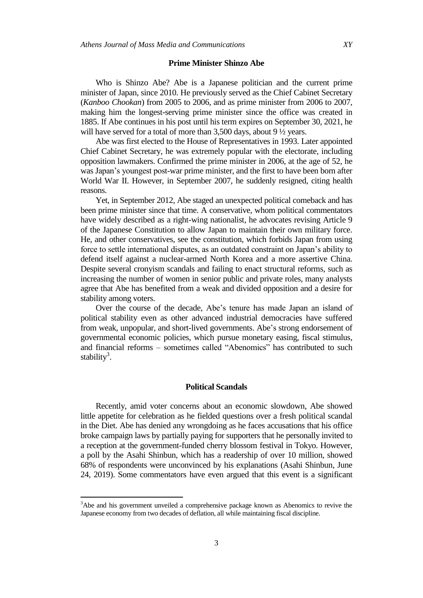#### **Prime Minister Shinzo Abe**

Who is Shinzo Abe? Abe is a Japanese politician and the current prime minister of Japan, since 2010. He previously served as the Chief Cabinet Secretary (*Kanboo Chookan*) from 2005 to 2006, and as prime minister from 2006 to 2007, making him the longest-serving prime minister since the office was created in 1885. If Abe continues in his post until his term expires on September 30, 2021, he will have served for a total of more than 3,500 days, about 9  $\frac{1}{2}$  years.

Abe was first elected to the House of Representatives in 1993. Later appointed Chief Cabinet Secretary, he was extremely popular with the electorate, including opposition lawmakers. Confirmed the prime minister in 2006, at the age of 52, he was Japan's youngest post-war prime minister, and the first to have been born after World War II. However, in September 2007, he suddenly resigned, citing health reasons.

Yet, in September 2012, Abe staged an unexpected political comeback and has been prime minister since that time. A conservative, whom political commentators have widely described as a right-wing nationalist, he advocates revising Article 9 of the Japanese Constitution to allow Japan to maintain their own military force. He, and other conservatives, see the constitution, which forbids Japan from using force to settle international disputes, as an outdated constraint on Japan's ability to defend itself against a nuclear-armed North Korea and a more assertive China. Despite several cronyism scandals and failing to enact structural reforms, such as increasing the number of women in senior public and private roles, many analysts agree that Abe has benefited from a weak and divided opposition and a desire for stability among voters.

Over the course of the decade, Abe's tenure has made Japan an island of political stability even as other advanced industrial democracies have suffered from weak, unpopular, and short-lived governments. Abe's strong endorsement of governmental economic policies, which pursue monetary easing, fiscal stimulus, and financial reforms – sometimes called "Abenomics" has contributed to such stability<sup>3</sup>.

## **Political Scandals**

Recently, amid voter concerns about an economic slowdown, Abe showed little appetite for celebration as he fielded questions over a fresh political scandal in the Diet. Abe has denied any wrongdoing as he faces accusations that his office broke campaign laws by partially paying for supporters that he personally invited to a reception at the government-funded cherry blossom festival in Tokyo. However, a poll by the Asahi Shinbun, which has a readership of over 10 million, showed 68% of respondents were unconvinced by his explanations (Asahi Shinbun, June 24, 2019). Some commentators have even argued that this event is a significant

<sup>&</sup>lt;sup>3</sup>Abe and his government unveiled a comprehensive package known as Abenomics to revive the Japanese economy from two decades of deflation, all while maintaining fiscal discipline.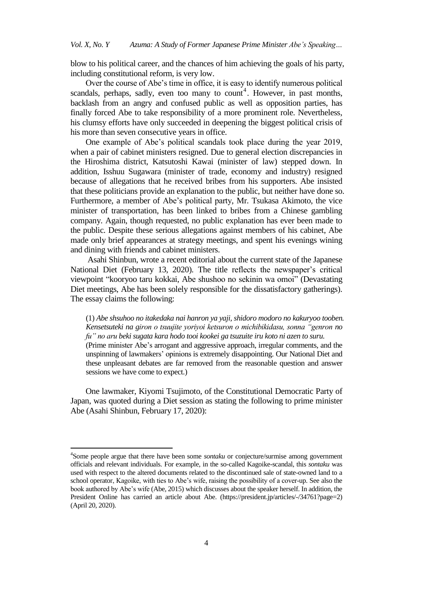blow to his political career, and the chances of him achieving the goals of his party, including constitutional reform, is very low.

Over the course of Abe's time in office, it is easy to identify numerous political scandals, perhaps, sadly, even too many to count<sup>4</sup>. However, in past months, backlash from an angry and confused public as well as opposition parties, has finally forced Abe to take responsibility of a more prominent role. Nevertheless, his clumsy efforts have only succeeded in deepening the biggest political crisis of his more than seven consecutive years in office.

One example of Abe's political scandals took place during the year 2019, when a pair of cabinet ministers resigned. Due to general election discrepancies in the Hiroshima district, Katsutoshi Kawai (minister of law) stepped down. In addition, Isshuu Sugawara (minister of trade, economy and industry) resigned because of allegations that he received bribes from his supporters. Abe insisted that these politicians provide an explanation to the public, but neither have done so. Furthermore, a member of Abe's political party, Mr. Tsukasa Akimoto, the vice minister of transportation, has been linked to bribes from a Chinese gambling company. Again, though requested, no public explanation has ever been made to the public. Despite these serious allegations against members of his cabinet, Abe made only brief appearances at strategy meetings, and spent his evenings wining and dining with friends and cabinet ministers.

Asahi Shinbun, wrote a recent editorial about the current state of the Japanese National Diet (February 13, 2020). The title reflects the newspaper's critical viewpoint "kooryoo taru kokkai, Abe shushoo no sekinin wa omoi" (Devastating Diet meetings, Abe has been solely responsible for the dissatisfactory gatherings). The essay claims the following:

(1) *Abe shsuhoo no itakedaka nai hanron ya yaji, shidoro modoro no kakuryoo tooben. Kensetsuteki na giron o tsuujite yoriyoi ketsuron o michibikidasu, sonna "genron no fu" no aru beki sugata kara hodo tooi kookei ga tsuzuite iru koto ni azen to suru.* (Prime minister Abe's arrogant and aggressive approach, irregular comments, and the unspinning of lawmakers' opinions is extremely disappointing. Our National Diet and these unpleasant debates are far removed from the reasonable question and answer sessions we have come to expect.)

One lawmaker, Kiyomi Tsujimoto, of the Constitutional Democratic Party of Japan, was quoted during a Diet session as stating the following to prime minister Abe (Asahi Shinbun, February 17, 2020):

<sup>4</sup> Some people argue that there have been some *sontaku* or conjecture/surmise among government officials and relevant individuals. For example, in the so-called Kagoike-scandal, this *sontaku* was used with respect to the altered documents related to the discontinued sale of state-owned land to a school operator, Kagoike, with ties to Abe's wife, raising the possibility of a cover-up. See also the book authored by Abe's wife (Abe, 2015) which discusses about the speaker herself. In addition, the President Online has carried an article about Abe. (https://president.jp/articles/-/34761?page=2) (April 20, 2020).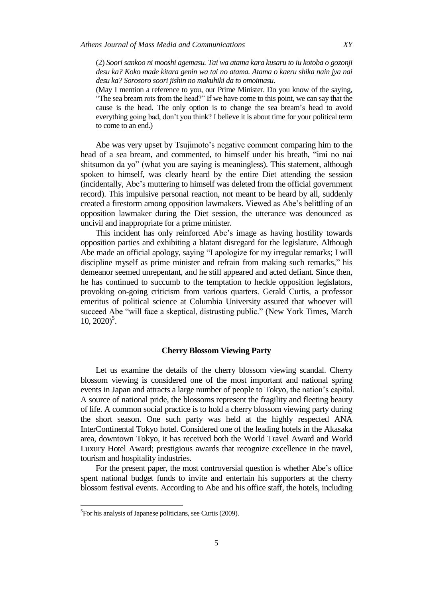(2) *Soori sankoo ni mooshi agemasu. Tai wa atama kara kusaru to iu kotoba o gozonji desu ka? Koko made kitara genin wa tai no atama. Atama o kaeru shika nain jya nai desu ka? Sorosoro soori jishin no makuhiki da to omoimasu.*

(May I mention a reference to you, our Prime Minister. Do you know of the saying, "The sea bream rots from the head?" If we have come to this point, we can say that the cause is the head. The only option is to change the sea bream's head to avoid everything going bad, don't you think? I believe it is about time for your political term to come to an end.)

Abe was very upset by Tsujimoto's negative comment comparing him to the head of a sea bream, and commented, to himself under his breath, "imi no nai shitsumon da yo" (what you are saying is meaningless). This statement, although spoken to himself, was clearly heard by the entire Diet attending the session (incidentally, Abe's muttering to himself was deleted from the official government record). This impulsive personal reaction, not meant to be heard by all, suddenly created a firestorm among opposition lawmakers. Viewed as Abe's belittling of an opposition lawmaker during the Diet session, the utterance was denounced as uncivil and inappropriate for a prime minister.

This incident has only reinforced Abe's image as having hostility towards opposition parties and exhibiting a blatant disregard for the legislature. Although Abe made an official apology, saying "I apologize for my irregular remarks; I will discipline myself as prime minister and refrain from making such remarks," his demeanor seemed unrepentant, and he still appeared and acted defiant. Since then, he has continued to succumb to the temptation to heckle opposition legislators, provoking on-going criticism from various quarters. Gerald Curtis, a professor emeritus of political science at Columbia University assured that whoever will succeed Abe "will face a skeptical, distrusting public." (New York Times, March  $10, 2020$ <sup>5</sup>.

### **Cherry Blossom Viewing Party**

Let us examine the details of the cherry blossom viewing scandal. Cherry blossom viewing is considered one of the most important and national spring events in Japan and attracts a large number of people to Tokyo, the nation's capital. A source of national pride, the blossoms represent the fragility and fleeting beauty of life. A common social practice is to hold a cherry blossom viewing party during the short season. One such party was held at the highly respected ANA InterContinental Tokyo hotel. Considered one of the leading hotels in the Akasaka area, downtown Tokyo, it has received both the World Travel Award and World Luxury Hotel Award; prestigious awards that recognize excellence in the travel, tourism and hospitality industries.

For the present paper, the most controversial question is whether Abe's office spent national budget funds to invite and entertain his supporters at the cherry blossom festival events. According to Abe and his office staff, the hotels, including

<sup>&</sup>lt;sup>5</sup>For his analysis of Japanese politicians, see Curtis (2009).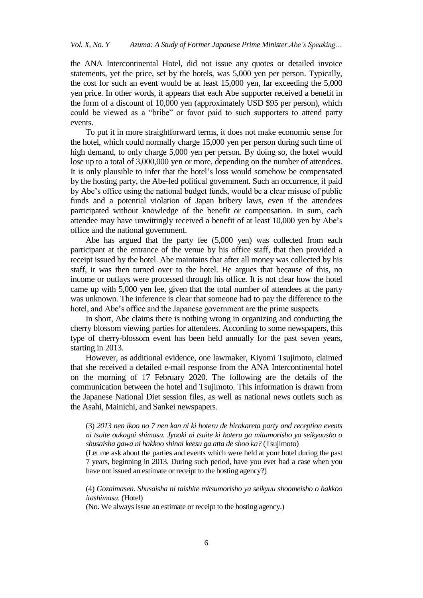the ANA Intercontinental Hotel, did not issue any quotes or detailed invoice statements, yet the price, set by the hotels, was 5,000 yen per person. Typically, the cost for such an event would be at least 15,000 yen, far exceeding the 5,000 yen price. In other words, it appears that each Abe supporter received a benefit in the form of a discount of 10,000 yen (approximately USD \$95 per person), which could be viewed as a "bribe" or favor paid to such supporters to attend party events.

To put it in more straightforward terms, it does not make economic sense for the hotel, which could normally charge 15,000 yen per person during such time of high demand, to only charge 5,000 yen per person. By doing so, the hotel would lose up to a total of 3,000,000 yen or more, depending on the number of attendees. It is only plausible to infer that the hotel's loss would somehow be compensated by the hosting party, the Abe-led political government. Such an occurrence, if paid by Abe's office using the national budget funds, would be a clear misuse of public funds and a potential violation of Japan bribery laws, even if the attendees participated without knowledge of the benefit or compensation. In sum, each attendee may have unwittingly received a benefit of at least 10,000 yen by Abe's office and the national government.

Abe has argued that the party fee (5,000 yen) was collected from each participant at the entrance of the venue by his office staff, that then provided a receipt issued by the hotel. Abe maintains that after all money was collected by his staff, it was then turned over to the hotel. He argues that because of this, no income or outlays were processed through his office. It is not clear how the hotel came up with 5,000 yen fee, given that the total number of attendees at the party was unknown. The inference is clear that someone had to pay the difference to the hotel, and Abe's office and the Japanese government are the prime suspects.

In short, Abe claims there is nothing wrong in organizing and conducting the cherry blossom viewing parties for attendees. According to some newspapers, this type of cherry-blossom event has been held annually for the past seven years, starting in 2013.

However, as additional evidence, one lawmaker, Kiyomi Tsujimoto, claimed that she received a detailed e-mail response from the ANA Intercontinental hotel on the morning of 17 February 2020. The following are the details of the communication between the hotel and Tsujimoto. This information is drawn from the Japanese National Diet session files, as well as national news outlets such as the Asahi, Mainichi, and Sankei newspapers.

(Let me ask about the parties and events which were held at your hotel during the past 7 years, beginning in 2013. During such period, have you ever had a case when you have not issued an estimate or receipt to the hosting agency?)

(4) *Gozaimasen. Shusaisha ni taishite mitsumorisho ya seikyuu shoomeisho o hakkoo itashimasu.* (Hotel)

(No. We always issue an estimate or receipt to the hosting agency.)

<sup>(3)</sup> *2013 nen ikoo no 7 nen kan ni ki hoteru de hirakareta party and reception events ni tsuite oukagai shimasu. Jyooki ni tsuite ki hoteru ga mitumorisho ya seikyuusho o shusaisha gawa ni hakkoo shinai keesu ga atta de shoo ka?* (Tsujimoto)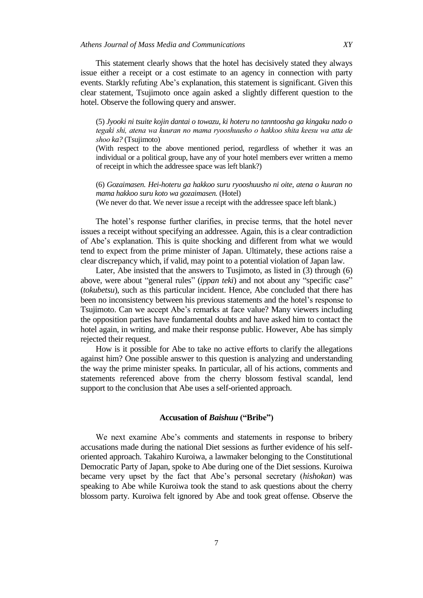This statement clearly shows that the hotel has decisively stated they always issue either a receipt or a cost estimate to an agency in connection with party events. Starkly refuting Abe's explanation, this statement is significant. Given this clear statement, Tsujimoto once again asked a slightly different question to the hotel. Observe the following query and answer.

(5) *Jyooki ni tsuite kojin dantai o towazu, ki hoteru no tanntoosha ga kingaku nado o tegaki shi, atena wa kuuran no mama ryooshuusho o hakkoo shita keesu wa atta de shoo ka?* (Tsujimoto)

(With respect to the above mentioned period, regardless of whether it was an individual or a political group, have any of your hotel members ever written a memo of receipt in which the addressee space was left blank?)

(6) *Gozaimasen. Hei-hoteru ga hakkoo suru ryooshuusho ni oite, atena o kuuran no mama hakkoo suru koto wa gozaimasen.* (Hotel) (We never do that. We never issue a receipt with the addressee space left blank.)

The hotel's response further clarifies, in precise terms, that the hotel never issues a receipt without specifying an addressee. Again, this is a clear contradiction of Abe's explanation. This is quite shocking and different from what we would tend to expect from the prime minister of Japan. Ultimately, these actions raise a clear discrepancy which, if valid, may point to a potential violation of Japan law.

Later, Abe insisted that the answers to Tusjimoto, as listed in (3) through (6) above, were about "general rules" (*ippan teki*) and not about any "specific case" (*tokubetsu*), such as this particular incident. Hence, Abe concluded that there has been no inconsistency between his previous statements and the hotel's response to Tsujimoto. Can we accept Abe's remarks at face value? Many viewers including the opposition parties have fundamental doubts and have asked him to contact the hotel again, in writing, and make their response public. However, Abe has simply rejected their request.

How is it possible for Abe to take no active efforts to clarify the allegations against him? One possible answer to this question is analyzing and understanding the way the prime minister speaks. In particular, all of his actions, comments and statements referenced above from the cherry blossom festival scandal, lend support to the conclusion that Abe uses a self-oriented approach.

## **Accusation of** *Baishuu* **("Bribe")**

We next examine Abe's comments and statements in response to bribery accusations made during the national Diet sessions as further evidence of his selforiented approach. Takahiro Kuroiwa, a lawmaker belonging to the Constitutional Democratic Party of Japan, spoke to Abe during one of the Diet sessions. Kuroiwa became very upset by the fact that Abe's personal secretary (*hishokan*) was speaking to Abe while Kuroiwa took the stand to ask questions about the cherry blossom party. Kuroiwa felt ignored by Abe and took great offense. Observe the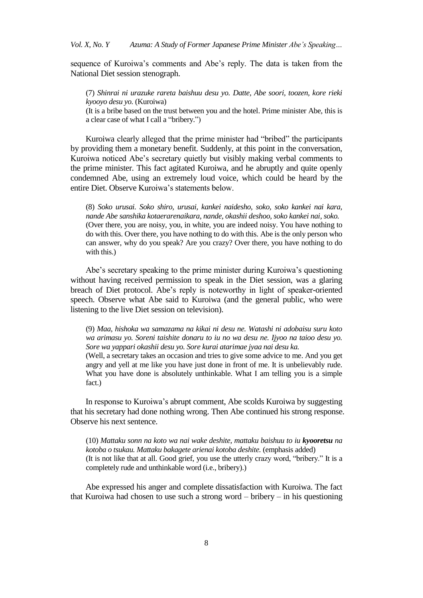sequence of Kuroiwa's comments and Abe's reply. The data is taken from the National Diet session stenograph.

(7) *Shinrai ni urazuke rareta baishuu desu yo. Datte, Abe soori, toozen, kore rieki kyooyo desu yo.* (Kuroiwa)

(It is a bribe based on the trust between you and the hotel. Prime minister Abe, this is a clear case of what I call a "bribery.")

Kuroiwa clearly alleged that the prime minister had "bribed" the participants by providing them a monetary benefit. Suddenly, at this point in the conversation, Kuroiwa noticed Abe's secretary quietly but visibly making verbal comments to the prime minister. This fact agitated Kuroiwa, and he abruptly and quite openly condemned Abe, using an extremely loud voice, which could be heard by the entire Diet. Observe Kuroiwa's statements below.

(8) *Soko urusai. Soko shiro, urusai, kankei naidesho, soko, soko kankei nai kara, nande Abe sanshika kotaerarenaikara, nande, okashii deshoo, soko kankei nai, soko.* (Over there, you are noisy, you, in white, you are indeed noisy. You have nothing to do with this. Over there, you have nothing to do with this. Abe is the only person who can answer, why do you speak? Are you crazy? Over there, you have nothing to do with this.)

Abe's secretary speaking to the prime minister during Kuroiwa's questioning without having received permission to speak in the Diet session, was a glaring breach of Diet protocol. Abe's reply is noteworthy in light of speaker-oriented speech. Observe what Abe said to Kuroiwa (and the general public, who were listening to the live Diet session on television).

(9) *Maa, hishoka wa samazama na kikai ni desu ne. Watashi ni adobaisu suru koto wa arimasu yo. Soreni taishite donaru to iu no wa desu ne. Ijyoo na taioo desu yo. Sore wa yappari okashii desu yo. Sore kurai atarimae jyaa nai desu ka.*

(Well, a secretary takes an occasion and tries to give some advice to me. And you get angry and yell at me like you have just done in front of me. It is unbelievably rude. What you have done is absolutely unthinkable. What I am telling you is a simple fact.)

In response to Kuroiwa's abrupt comment, Abe scolds Kuroiwa by suggesting that his secretary had done nothing wrong. Then Abe continued his strong response. Observe his next sentence.

(10) *Mattaku sonn na koto wa nai wake deshite, mattaku baishuu to iu kyooretsu na kotoba o tsukau. Mattaku bakagete arienai kotoba deshite.* (emphasis added) (It is not like that at all. Good grief, you use the utterly crazy word, "bribery." It is a completely rude and unthinkable word (i.e., bribery).)

Abe expressed his anger and complete dissatisfaction with Kuroiwa. The fact that Kuroiwa had chosen to use such a strong word – bribery – in his questioning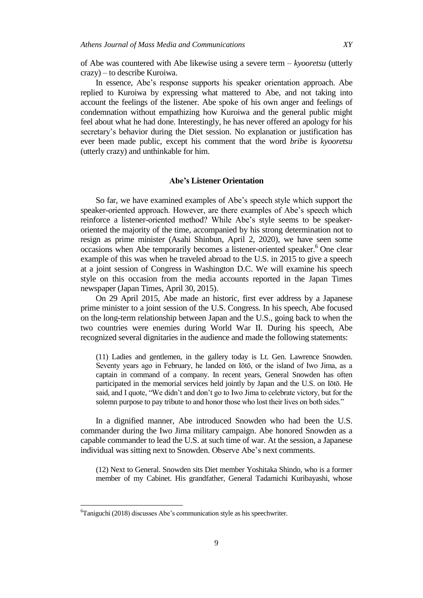of Abe was countered with Abe likewise using a severe term – *kyooretsu* (utterly crazy) – to describe Kuroiwa.

In essence, Abe's response supports his speaker orientation approach. Abe replied to Kuroiwa by expressing what mattered to Abe, and not taking into account the feelings of the listener. Abe spoke of his own anger and feelings of condemnation without empathizing how Kuroiwa and the general public might feel about what he had done. Interestingly, he has never offered an apology for his secretary's behavior during the Diet session. No explanation or justification has ever been made public, except his comment that the word *bribe* is *kyooretsu* (utterly crazy) and unthinkable for him.

### **Abe's Listener Orientation**

So far, we have examined examples of Abe's speech style which support the speaker-oriented approach. However, are there examples of Abe's speech which reinforce a listener-oriented method? While Abe's style seems to be speakeroriented the majority of the time, accompanied by his strong determination not to resign as prime minister (Asahi Shinbun, April 2, 2020), we have seen some occasions when Abe temporarily becomes a listener-oriented speaker. <sup>6</sup> One clear example of this was when he traveled abroad to the U.S. in 2015 to give a speech at a joint session of Congress in Washington D.C. We will examine his speech style on this occasion from the media accounts reported in the Japan Times newspaper (Japan Times, April 30, 2015).

On 29 April 2015, Abe made an historic, first ever address by a Japanese prime minister to a joint session of the U.S. Congress. In his speech, Abe focused on the long-term relationship between Japan and the U.S., going back to when the two countries were enemies during World War II. During his speech, Abe recognized several dignitaries in the audience and made the following statements:

(11) Ladies and gentlemen, in the gallery today is Lt. Gen. Lawrence Snowden. Seventy years ago in February, he landed on Iōtō, or the island of Iwo Jima, as a captain in command of a company. In recent years, General Snowden has often participated in the memorial services held jointly by Japan and the U.S. on Iōtō. He said, and I quote, "We didn't and don't go to Iwo Jima to celebrate victory, but for the solemn purpose to pay tribute to and honor those who lost their lives on both sides."

In a dignified manner, Abe introduced Snowden who had been the U.S. commander during the Iwo Jima military campaign. Abe honored Snowden as a capable commander to lead the U.S. at such time of war. At the session, a Japanese individual was sitting next to Snowden. Observe Abe's next comments.

(12) Next to General. Snowden sits Diet member Yoshitaka Shindo, who is a former member of my Cabinet. His grandfather, General Tadamichi Kuribayashi, whose

<sup>&</sup>lt;sup>6</sup>Taniguchi (2018) discusses Abe's communication style as his speechwriter.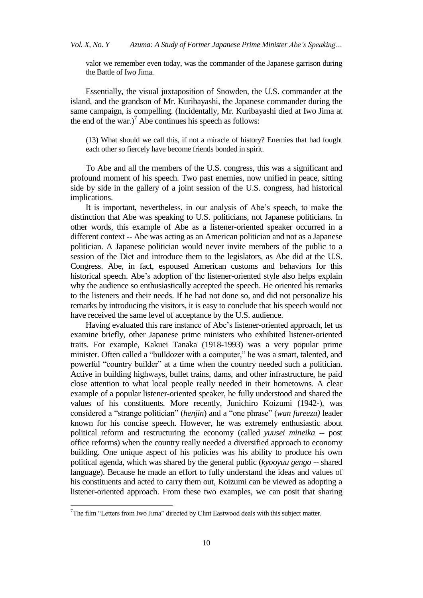valor we remember even today, was the commander of the Japanese garrison during the Battle of Iwo Jima.

Essentially, the visual juxtaposition of Snowden, the U.S. commander at the island, and the grandson of Mr. Kuribayashi, the Japanese commander during the same campaign, is compelling. (Incidentally, Mr. Kuribayashi died at Iwo Jima at the end of the war.)<sup>7</sup> Abe continues his speech as follows:

(13) What should we call this, if not a miracle of history? Enemies that had fought each other so fiercely have become friends bonded in spirit.

To Abe and all the members of the U.S. congress, this was a significant and profound moment of his speech. Two past enemies, now unified in peace, sitting side by side in the gallery of a joint session of the U.S. congress, had historical implications.

It is important, nevertheless, in our analysis of Abe's speech, to make the distinction that Abe was speaking to U.S. politicians, not Japanese politicians. In other words, this example of Abe as a listener-oriented speaker occurred in a different context -- Abe was acting as an American politician and not as a Japanese politician. A Japanese politician would never invite members of the public to a session of the Diet and introduce them to the legislators, as Abe did at the U.S. Congress. Abe, in fact, espoused American customs and behaviors for this historical speech. Abe's adoption of the listener-oriented style also helps explain why the audience so enthusiastically accepted the speech. He oriented his remarks to the listeners and their needs. If he had not done so, and did not personalize his remarks by introducing the visitors, it is easy to conclude that his speech would not have received the same level of acceptance by the U.S. audience.

Having evaluated this rare instance of Abe's listener-oriented approach, let us examine briefly, other Japanese prime ministers who exhibited listener-oriented traits. For example, Kakuei Tanaka (1918-1993) was a very popular prime minister. Often called a "bulldozer with a computer," he was a smart, talented, and powerful "country builder" at a time when the country needed such a politician. Active in building highways, bullet trains, dams, and other infrastructure, he paid close attention to what local people really needed in their hometowns. A clear example of a popular listener-oriented speaker, he fully understood and shared the values of his constituents. More recently, Junichiro Koizumi (1942-), was considered a "strange politician" (*henjin*) and a "one phrase" (*wan fureezu)* leader known for his concise speech. However, he was extremely enthusiastic about political reform and restructuring the economy (called *yuusei mineika* -- post office reforms) when the country really needed a diversified approach to economy building. One unique aspect of his policies was his ability to produce his own political agenda, which was shared by the general public (*kyooyuu gengo* -- shared language). Because he made an effort to fully understand the ideas and values of his constituents and acted to carry them out, Koizumi can be viewed as adopting a listener-oriented approach. From these two examples, we can posit that sharing

 $7$ The film "Letters from Iwo Jima" directed by Clint Eastwood deals with this subject matter.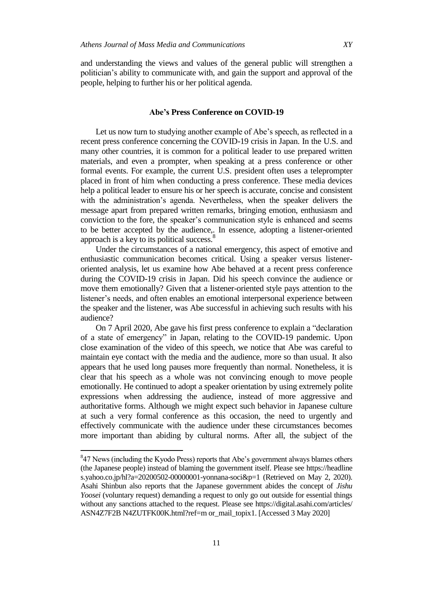and understanding the views and values of the general public will strengthen a politician's ability to communicate with, and gain the support and approval of the people, helping to further his or her political agenda.

## **Abe's Press Conference on COVID-19**

Let us now turn to studying another example of Abe's speech, as reflected in a recent press conference concerning the COVID-19 crisis in Japan. In the U.S. and many other countries, it is common for a political leader to use prepared written materials, and even a prompter, when speaking at a press conference or other formal events. For example, the current U.S. president often uses a teleprompter placed in front of him when conducting a press conference. These media devices help a political leader to ensure his or her speech is accurate, concise and consistent with the administration's agenda. Nevertheless, when the speaker delivers the message apart from prepared written remarks, bringing emotion, enthusiasm and conviction to the fore, the speaker's communication style is enhanced and seems to be better accepted by the audience,. In essence, adopting a listener-oriented approach is a key to its political success.<sup>8</sup>

Under the circumstances of a national emergency, this aspect of emotive and enthusiastic communication becomes critical. Using a speaker versus listeneroriented analysis, let us examine how Abe behaved at a recent press conference during the COVID-19 crisis in Japan. Did his speech convince the audience or move them emotionally? Given that a listener-oriented style pays attention to the listener's needs, and often enables an emotional interpersonal experience between the speaker and the listener, was Abe successful in achieving such results with his audience?

On 7 April 2020, Abe gave his first press conference to explain a "declaration of a state of emergency" in Japan, relating to the COVID-19 pandemic. Upon close examination of the video of this speech, we notice that Abe was careful to maintain eye contact with the media and the audience, more so than usual. It also appears that he used long pauses more frequently than normal. Nonetheless, it is clear that his speech as a whole was not convincing enough to move people emotionally. He continued to adopt a speaker orientation by using extremely polite expressions when addressing the audience, instead of more aggressive and authoritative forms. Although we might expect such behavior in Japanese culture at such a very formal conference as this occasion, the need to urgently and effectively communicate with the audience under these circumstances becomes more important than abiding by cultural norms. After all, the subject of the

<sup>&</sup>lt;sup>8</sup>47 News (including the Kyodo Press) reports that Abe's government always blames others (the Japanese people) instead of blaming the government itself. Please see https://headline s.yahoo.co.jp/hl?a=20200502-00000001-yonnana-soci&p=1 (Retrieved on May 2, 2020). Asahi Shinbun also reports that the Japanese government abides the concept of *Jishu Yoosei* (voluntary request) demanding a request to only go out outside for essential things without any sanctions attached to the request. Please see https://digital.asahi.com/articles/ ASN4Z7F2B N4ZUTFK00K.html?ref=m or\_mail\_topix1. [Accessed 3 May 2020]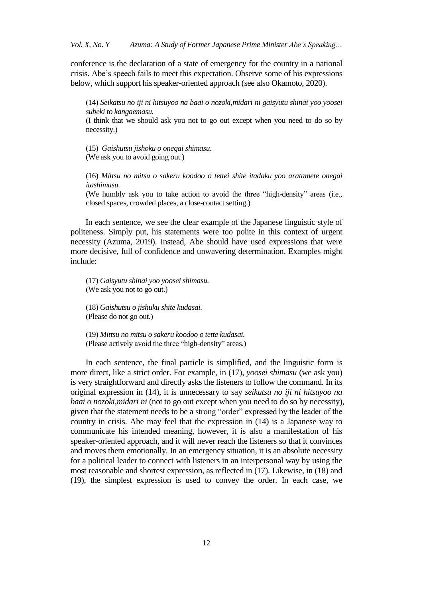conference is the declaration of a state of emergency for the country in a national crisis. Abe's speech fails to meet this expectation. Observe some of his expressions below, which support his speaker-oriented approach (see also Okamoto, 2020).

(14) *Seikatsu no iji ni hitsuyoo na baai o nozoki,midari ni gaisyutu shinai yoo yoosei subeki to kangaemasu.*

(I think that we should ask you not to go out except when you need to do so by necessity.)

(15) *Gaishutsu jishoku o onegai shimasu.* (We ask you to avoid going out.)

(16) *Mittsu no mitsu o sakeru koodoo o tettei shite itadaku yoo aratamete onegai itashimasu.*

(We humbly ask you to take action to avoid the three "high-density" areas (i.e., closed spaces, crowded places, a close-contact setting.)

In each sentence, we see the clear example of the Japanese linguistic style of politeness. Simply put, his statements were too polite in this context of urgent necessity (Azuma, 2019). Instead, Abe should have used expressions that were more decisive, full of confidence and unwavering determination. Examples might include:

(17) *Gaisyutu shinai yoo yoosei shimasu.* (We ask you not to go out.)

(18) *Gaishutsu o jishuku shite kudasai.* (Please do not go out.)

(19) *Mittsu no mitsu o sakeru koodoo o tette kudasai.* (Please actively avoid the three "high-density" areas.)

In each sentence, the final particle is simplified, and the linguistic form is more direct, like a strict order. For example, in (17), *yoosei shimasu* (we ask you) is very straightforward and directly asks the listeners to follow the command. In its original expression in (14), it is unnecessary to say *seikatsu no iji ni hitsuyoo na baai o nozoki,midari ni* (not to go out except when you need to do so by necessity), given that the statement needs to be a strong "order" expressed by the leader of the country in crisis. Abe may feel that the expression in (14) is a Japanese way to communicate his intended meaning, however, it is also a manifestation of his speaker-oriented approach, and it will never reach the listeners so that it convinces and moves them emotionally. In an emergency situation, it is an absolute necessity for a political leader to connect with listeners in an interpersonal way by using the most reasonable and shortest expression, as reflected in (17). Likewise, in (18) and (19), the simplest expression is used to convey the order. In each case, we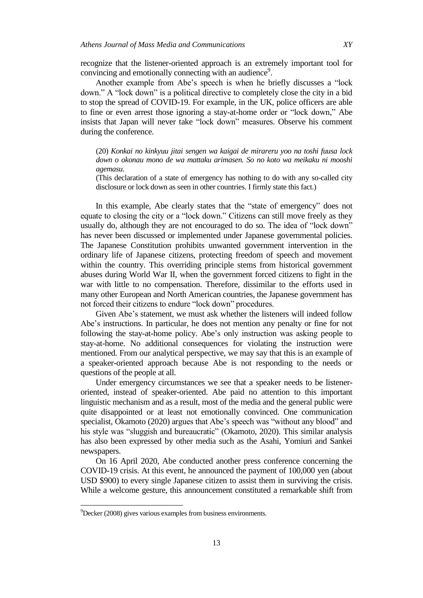recognize that the listener-oriented approach is an extremely important tool for convincing and emotionally connecting with an audience<sup>9</sup>.

Another example from Abe's speech is when he briefly discusses a "lock down." A "lock down" is a political directive to completely close the city in a bid to stop the spread of COVID-19. For example, in the UK, police officers are able to fine or even arrest those ignoring a stay-at-home order or "lock down," Abe insists that Japan will never take "lock down" measures. Observe his comment during the conference.

(20) *Konkai no kinkyuu jitai sengen wa kaigai de mirareru yoo na toshi fuusa lock down o okonau mono de wa mattaku arimasen. So no koto wa meikaku ni mooshi agemasu.*

(This declaration of a state of emergency has nothing to do with any so-called city disclosure or lock down as seen in other countries. I firmly state this fact.)

In this example, Abe clearly states that the "state of emergency" does not equate to closing the city or a "lock down." Citizens can still move freely as they usually do, although they are not encouraged to do so. The idea of "lock down" has never been discussed or implemented under Japanese governmental policies. The Japanese Constitution prohibits unwanted government intervention in the ordinary life of Japanese citizens, protecting freedom of speech and movement within the country. This overriding principle stems from historical government abuses during World War II, when the government forced citizens to fight in the war with little to no compensation. Therefore, dissimilar to the efforts used in many other European and North American countries, the Japanese government has not forced their citizens to endure "lock down" procedures.

Given Abe's statement, we must ask whether the listeners will indeed follow Abe's instructions. In particular, he does not mention any penalty or fine for not following the stay-at-home policy. Abe's only instruction was asking people to stay-at-home. No additional consequences for violating the instruction were mentioned. From our analytical perspective, we may say that this is an example of a speaker-oriented approach because Abe is not responding to the needs or questions of the people at all.

Under emergency circumstances we see that a speaker needs to be listeneroriented, instead of speaker-oriented. Abe paid no attention to this important linguistic mechanism and as a result, most of the media and the general public were quite disappointed or at least not emotionally convinced. One communication specialist, Okamoto (2020) argues that Abe's speech was "without any blood" and his style was "sluggish and bureaucratic" (Okamoto, 2020). This similar analysis has also been expressed by other media such as the Asahi, Yomiuri and Sankei newspapers.

On 16 April 2020, Abe conducted another press conference concerning the COVID-19 crisis. At this event, he announced the payment of 100,000 yen (about USD \$900) to every single Japanese citizen to assist them in surviving the crisis. While a welcome gesture, this announcement constituted a remarkable shift from

 $9$ Decker (2008) gives various examples from business environments.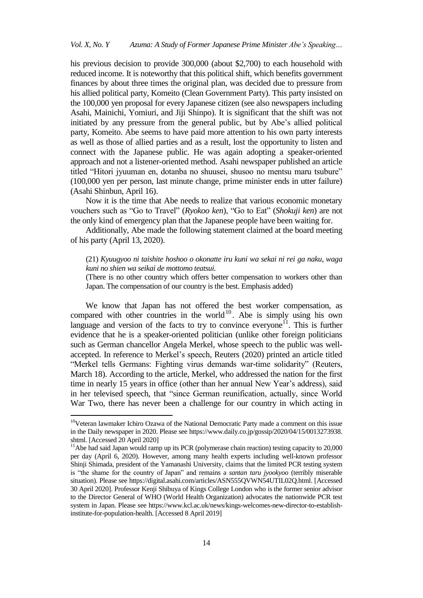his previous decision to provide 300,000 (about \$2,700) to each household with reduced income. It is noteworthy that this political shift, which benefits government finances by about three times the original plan, was decided due to pressure from his allied political party, Komeito (Clean Government Party). This party insisted on the 100,000 yen proposal for every Japanese citizen (see also newspapers including Asahi, Mainichi, Yomiuri, and Jiji Shinpo). It is significant that the shift was not initiated by any pressure from the general public, but by Abe's allied political party, Komeito. Abe seems to have paid more attention to his own party interests as well as those of allied parties and as a result, lost the opportunity to listen and connect with the Japanese public. He was again adopting a speaker-oriented approach and not a listener-oriented method. Asahi newspaper published an article titled "Hitori jyuuman en, dotanba no shuusei, shusoo no mentsu maru tsubure" (100,000 yen per person, last minute change, prime minister ends in utter failure) (Asahi Shinbun, April 16).

Now it is the time that Abe needs to realize that various economic monetary vouchers such as "Go to Travel" (*Ryokoo ken*), "Go to Eat" (*Shokuji ken*) are not the only kind of emergency plan that the Japanese people have been waiting for.

Additionally, Abe made the following statement claimed at the board meeting of his party (April 13, 2020).

(21) *Kyuugyoo ni taishite hoshoo o okonatte iru kuni wa sekai ni rei ga naku, waga kuni no shien wa seikai de mottomo teatsui.*

(There is no other country which offers better compensation to workers other than Japan. The compensation of our country is the best. Emphasis added)

We know that Japan has not offered the best worker compensation, as compared with other countries in the world<sup>10</sup>. Abe is simply using his own language and version of the facts to try to convince everyone<sup>11</sup>. This is further evidence that he is a speaker-oriented politician (unlike other foreign politicians such as German chancellor Angela Merkel, whose speech to the public was wellaccepted. In reference to Merkel's speech, Reuters (2020) printed an article titled "Merkel tells Germans: Fighting virus demands war-time solidarity" (Reuters, March 18). According to the article, Merkel, who addressed the nation for the first time in nearly 15 years in office (other than her annual New Year's address), said in her televised speech, that "since German reunification, actually, since World War Two, there has never been a challenge for our country in which acting in

<sup>&</sup>lt;sup>10</sup>Veteran lawmaker Ichiro Ozawa of the National Democratic Party made a comment on this issue in the Daily newspaper in 2020. Please see https://www.daily.co.jp/gossip/2020/04/15/0013273938. shtml. [Accessed 20 April 2020]

 $11$ Abe had said Japan would ramp up its PCR (polymerase chain reaction) testing capacity to 20,000 per day (April 6, 2020). However, among many health experts including well-known professor Shinji Shimada, president of the Yamanashi University, claims that the limited PCR testing system is "the shame for the country of Japan" and remains a *santan taru jyookyoo* (terribly miserable situation). Please see [https://digital.asahi.com/articles/ASN555QVWN54UTIL02Q.html.](https://digital.asahi.com/articles/ASN555QVWN54UTIL02Q.html) [Accessed 30 April 2020]. Professor Kenji Shibuya of Kings College London who is the former senior advisor to the Director General of WHO (World Health Organization) advocates the nationwide PCR test system in Japan. Please see [https://www.kcl.ac.uk/news/kings-welcomes-new-director-to-establish](https://www.kcl.ac.uk/news/kings-welcomes-new-director-to-establish-institute-for-population-health)[institute-for-population-health.](https://www.kcl.ac.uk/news/kings-welcomes-new-director-to-establish-institute-for-population-health) [Accessed 8 April 2019]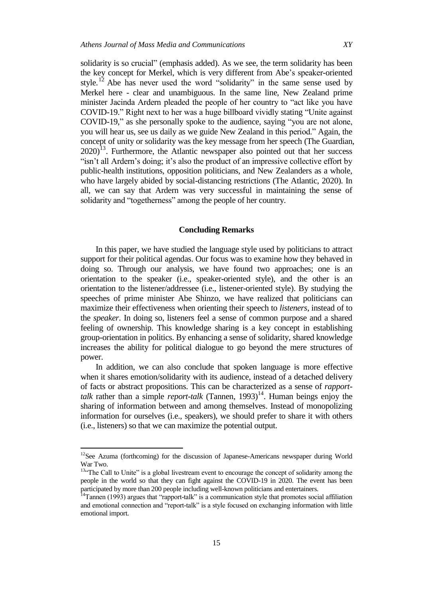solidarity is so crucial" (emphasis added). As we see, the term solidarity has been the key concept for Merkel, which is very different from Abe's speaker-oriented style.<sup>12</sup> Abe has never used the word "solidarity" in the same sense used by Merkel here - clear and unambiguous. In the same line, New Zealand prime minister Jacinda Ardern pleaded the people of her country to "act like you have COVID-19." Right next to her was a huge billboard vividly stating "Unite against COVID-19," as she personally spoke to the audience, saying "you are not alone, you will hear us, see us daily as we guide New Zealand in this period." Again, the concept of unity or solidarity was the key message from her speech (The Guardian,  $2020$ <sup>13</sup>. Furthermore, the Atlantic newspaper also pointed out that her success "isn't all Ardern's doing; it's also the product of an impressive collective effort by public-health institutions, opposition politicians, and New Zealanders as a whole, who have largely abided by social-distancing restrictions (The Atlantic, 2020). In all, we can say that Ardern was very successful in maintaining the sense of solidarity and "togetherness" among the people of her country.

## **Concluding Remarks**

In this paper, we have studied the language style used by politicians to attract support for their political agendas. Our focus was to examine how they behaved in doing so. Through our analysis, we have found two approaches; one is an orientation to the speaker (i.e., speaker-oriented style), and the other is an orientation to the listener/addressee (i.e., listener-oriented style). By studying the speeches of prime minister Abe Shinzo, we have realized that politicians can maximize their effectiveness when orienting their speech to *listeners*, instead of to the *speaker*. In doing so, listeners feel a sense of common purpose and a shared feeling of ownership. This knowledge sharing is a key concept in establishing group-orientation in politics. By enhancing a sense of solidarity, shared knowledge increases the ability for political dialogue to go beyond the mere structures of power.

In addition, we can also conclude that spoken language is more effective when it shares emotion/solidarity with its audience, instead of a detached delivery of facts or abstract propositions. This can be characterized as a sense of *rapport*talk rather than a simple *report-talk* (Tannen, 1993)<sup>14</sup>. Human beings enjoy the sharing of information between and among themselves. Instead of monopolizing information for ourselves (i.e., speakers), we should prefer to share it with others (i.e., listeners) so that we can maximize the potential output.

<sup>&</sup>lt;sup>12</sup>See Azuma (forthcoming) for the discussion of Japanese-Americans newspaper during World War Two.

<sup>&</sup>lt;sup>13"</sup>The Call to Unite" is a global livestream event to encourage the concept of solidarity among the people in the world so that they can fight against the COVID-19 in 2020. The event has been participated by more than 200 people including well-known politicians and entertainers.

<sup>&</sup>lt;sup>14</sup>Tannen (1993) argues that "rapport-talk" is a communication style that promotes social affiliation and emotional connection and "report-talk" is a style focused on exchanging information with little emotional import.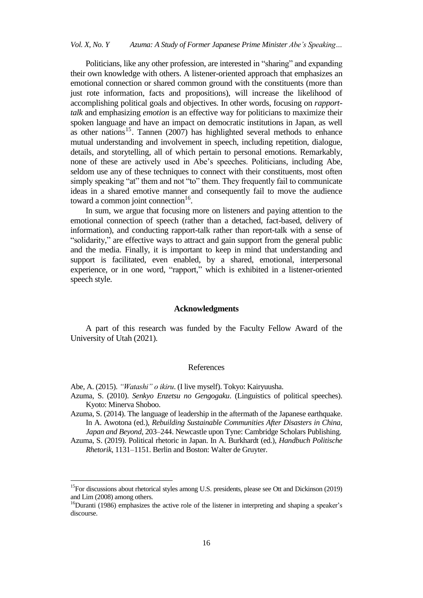Politicians, like any other profession, are interested in "sharing" and expanding their own knowledge with others. A listener-oriented approach that emphasizes an emotional connection or shared common ground with the constituents (more than just rote information, facts and propositions), will increase the likelihood of accomplishing political goals and objectives. In other words, focusing on *rapporttalk* and emphasizing *emotion* is an effective way for politicians to maximize their spoken language and have an impact on democratic institutions in Japan, as well as other nations<sup>15</sup>. Tannen (2007) has highlighted several methods to enhance mutual understanding and involvement in speech, including repetition, dialogue, details, and storytelling, all of which pertain to personal emotions. Remarkably, none of these are actively used in Abe's speeches. Politicians, including Abe, seldom use any of these techniques to connect with their constituents, most often simply speaking "at" them and not "to" them. They frequently fail to communicate ideas in a shared emotive manner and consequently fail to move the audience toward a common joint connection<sup>16</sup>.

In sum, we argue that focusing more on listeners and paying attention to the emotional connection of speech (rather than a detached, fact-based, delivery of information), and conducting rapport-talk rather than report-talk with a sense of "solidarity," are effective ways to attract and gain support from the general public and the media. Finally, it is important to keep in mind that understanding and support is facilitated, even enabled, by a shared, emotional, interpersonal experience, or in one word, "rapport," which is exhibited in a listener-oriented speech style.

#### **Acknowledgments**

A part of this research was funded by the Faculty Fellow Award of the University of Utah (2021).

#### References

Abe, A. (2015). *"Watashi" o ikiru*. (I live myself). Tokyo: Kairyuusha.

- Azuma, S. (2010). *Senkyo Enzetsu no Gengogaku*. (Linguistics of political speeches). Kyoto: Minerva Shoboo.
- Azuma, S. (2014). The language of leadership in the aftermath of the Japanese earthquake. In A. Awotona (ed.), *Rebuilding Sustainable Communities After Disasters in China, Japan and Beyond*, 203–244. Newcastle upon Tyne: Cambridge Scholars Publishing.
- Azuma, S. (2019). Political rhetoric in Japan. In A. Burkhardt (ed.), *Handbuch Politische Rhetorik*, 1131–1151. Berlin and Boston: Walter de Gruyter.

<sup>&</sup>lt;sup>15</sup>For discussions about rhetorical styles among U.S. presidents, please see Ott and Dickinson (2019) and Lim (2008) among others.

<sup>&</sup>lt;sup>16</sup>Duranti (1986) emphasizes the active role of the listener in interpreting and shaping a speaker's discourse.